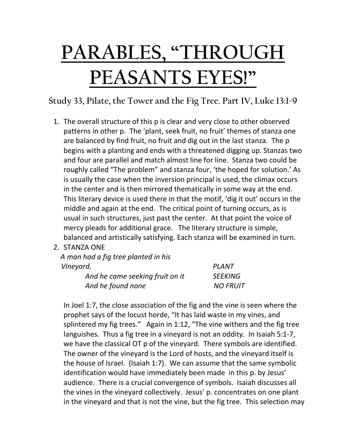## **PARABLES, "THROUGH PEASANTS EYES!"**

**Study 33, Pilate, the Tower and the Fig Tree. Part IV, Luke 13:1-9**

- 1. The overall structure of this p is clear and very close to other observed patterns in other p. The 'plant, seek fruit, no fruit' themes of stanza one are balanced by find fruit, no fruit and dig out in the last stanza. The p begins with a planting and ends with a threatened digging up. Stanzas two and four are parallel and match almost line for line. Stanza two could be roughly called "The problem" and stanza four, 'the hoped for solution.' As is usually the case when the inversion principal is used, the climax occurs in the center and is then mirrored thematically in some way at the end. This literary device is used there in that the motif, 'dig it out' occurs in the middle and again at the end. The critical point of turning occurs, as is usual in such structures, just past the center. At that point the voice of mercy pleads for additional grace. The literary structure is simple, balanced and artistically satisfying. Each stanza will be examined in turn.
- 2. STANZA ONE

 *A man had a fig tree planted in his Vineyard. PLANT And he came seeking fruit on it SEEKING* And he found none NO FRUIT

In Joel 1:7, the close association of the fig and the vine is seen where the prophet says of the locust horde, "It has laid waste in my vines, and splintered my fig trees." Again in 1:12, "The vine withers and the fig tree languishes. Thus a fig tree in a vineyard is not an oddity. In Isaiah 5:1-7, we have the classical OT p of the vineyard. There symbols are identified. The owner of the vineyard is the Lord of hosts, and the vineyard itself is the house of Israel. (Isaiah 1:7). We can assume that the same symbolic identification would have immediately been made in this p. by Jesus' audience. There is a crucial convergence of symbols. Isaiah discusses all the vines in the vineyard collectively. Jesus' p. concentrates on one plant in the vineyard and that is not the vine, but the fig tree. This selection may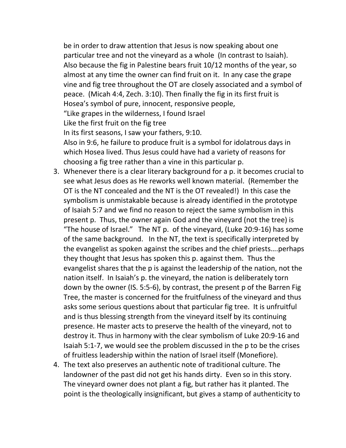be in order to draw attention that Jesus is now speaking about one particular tree and not the vineyard as a whole (In contrast to Isaiah). Also because the fig in Palestine bears fruit 10/12 months of the year, so almost at any time the owner can find fruit on it. In any case the grape vine and fig tree throughout the OT are closely associated and a symbol of peace. (Micah 4:4, Zech. 3:10). Then finally the fig in its first fruit is Hosea's symbol of pure, innocent, responsive people, "Like grapes in the wilderness, I found Israel Like the first fruit on the fig tree In its first seasons, I saw your fathers, 9:10. Also in 9:6, he failure to produce fruit is a symbol for idolatrous days in which Hosea lived. Thus Jesus could have had a variety of reasons for choosing a fig tree rather than a vine in this particular p.

- 3. Whenever there is a clear literary background for a p. it becomes crucial to see what Jesus does as He reworks well known material. (Remember the OT is the NT concealed and the NT is the OT revealed!) In this case the symbolism is unmistakable because is already identified in the prototype of Isaiah 5:7 and we find no reason to reject the same symbolism in this present p. Thus, the owner again God and the vineyard (not the tree) is "The house of Israel." The NT p. of the vineyard, (Luke 20:9-16) has some of the same background. In the NT, the text is specifically interpreted by the evangelist as spoken against the scribes and the chief priests….perhaps they thought that Jesus has spoken this p. against them. Thus the evangelist shares that the p is against the leadership of the nation, not the nation itself. In Isaiah's p. the vineyard, the nation is deliberately torn down by the owner (IS. 5:5-6), by contrast, the present p of the Barren Fig Tree, the master is concerned for the fruitfulness of the vineyard and thus asks some serious questions about that particular fig tree. It is unfruitful and is thus blessing strength from the vineyard itself by its continuing presence. He master acts to preserve the health of the vineyard, not to destroy it. Thus in harmony with the clear symbolism of Luke 20:9-16 and Isaiah 5:1-7, we would see the problem discussed in the p to be the crises of fruitless leadership within the nation of Israel itself (Monefiore).
- 4. The text also preserves an authentic note of traditional culture. The landowner of the past did not get his hands dirty. Even so in this story. The vineyard owner does not plant a fig, but rather has it planted. The point is the theologically insignificant, but gives a stamp of authenticity to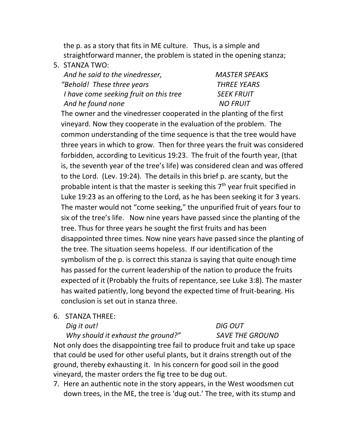the p. as a story that fits in ME culture. Thus, is a simple and straightforward manner, the problem is stated in the opening stanza;

5. STANZA TWO:

| And he said to the vinedresser,        | <b>MASTER SPEAKS</b> |
|----------------------------------------|----------------------|
| "Behold! These three years             | <b>THREE YEARS</b>   |
| I have come seeking fruit on this tree | <b>SEEK FRUIT</b>    |
| And he found none                      | <b>NO FRUIT</b>      |

The owner and the vinedresser cooperated in the planting of the first vineyard. Now they cooperate in the evaluation of the problem. The common understanding of the time sequence is that the tree would have three years in which to grow. Then for three years the fruit was considered forbidden, according to Leviticus 19:23. The fruit of the fourth year, (that is, the seventh year of the tree's life) was considered clean and was offered to the Lord. (Lev. 19:24). The details in this brief p. are scanty, but the probable intent is that the master is seeking this  $7<sup>th</sup>$  year fruit specified in Luke 19:23 as an offering to the Lord, as he has been seeking it for 3 years. The master would not "come seeking," the unpurified fruit of years four to six of the tree's life. Now nine years have passed since the planting of the tree. Thus for three years he sought the first fruits and has been disappointed three times. Now nine years have passed since the planting of the tree. The situation seems hopeless. If our identification of the symbolism of the p. is correct this stanza is saying that quite enough time has passed for the current leadership of the nation to produce the fruits expected of it (Probably the fruits of repentance, see Luke 3:8). The master has waited patiently, long beyond the expected time of fruit-bearing. His conclusion is set out in stanza three.

6. STANZA THREE:

*Dig it out! DIG OUT*

## *Why should it exhaust the ground?" SAVE THE GROUND*

Not only does the disappointing tree fail to produce fruit and take up space that could be used for other useful plants, but it drains strength out of the ground, thereby exhausting it. In his concern for good soil in the good vineyard, the master orders the fig tree to be dug out.

7. Here an authentic note in the story appears, in the West woodsmen cut down trees, in the ME, the tree is 'dug out.' The tree, with its stump and